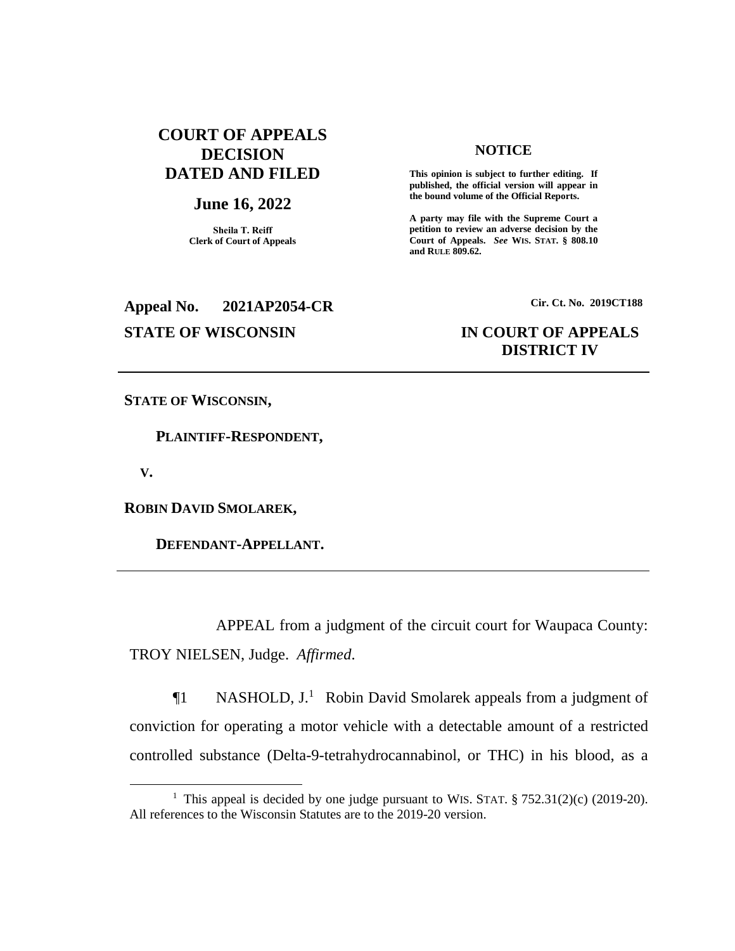## **COURT OF APPEALS DECISION DATED AND FILED**

## **June 16, 2022**

**Sheila T. Reiff Clerk of Court of Appeals**

# **Appeal No. 2021AP2054-CR Cir. Ct. No. 2019CT188**

#### **NOTICE**

**This opinion is subject to further editing. If published, the official version will appear in the bound volume of the Official Reports.** 

**A party may file with the Supreme Court a petition to review an adverse decision by the Court of Appeals.** *See* **WIS. STAT. § 808.10 and RULE 809.62.** 

## **STATE OF WISCONSIN IN COURT OF APPEALS DISTRICT IV**

**STATE OF WISCONSIN,**

 **PLAINTIFF-RESPONDENT,**

 **V.**

 $\overline{a}$ 

**ROBIN DAVID SMOLAREK,**

 **DEFENDANT-APPELLANT.**

APPEAL from a judgment of the circuit court for Waupaca County: TROY NIELSEN, Judge. *Affirmed*.

 $\P1$  NASHOLD, J.<sup>1</sup> Robin David Smolarek appeals from a judgment of conviction for operating a motor vehicle with a detectable amount of a restricted controlled substance (Delta-9-tetrahydrocannabinol, or THC) in his blood, as a

<sup>&</sup>lt;sup>1</sup> This appeal is decided by one judge pursuant to WIS. STAT.  $\S 752.31(2)(c)$  (2019-20). All references to the Wisconsin Statutes are to the 2019-20 version.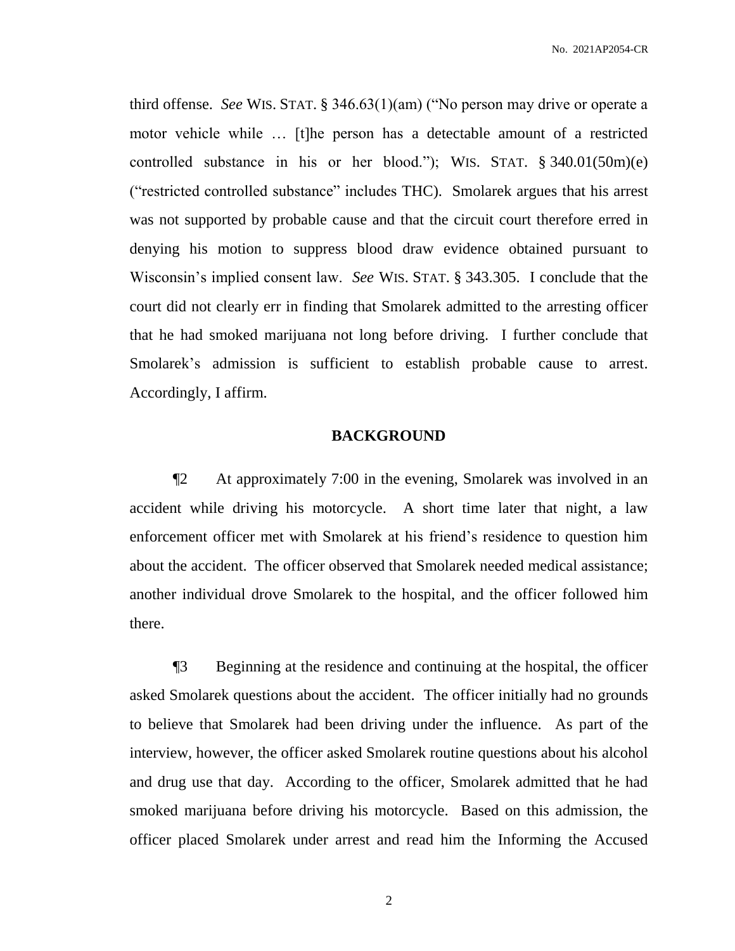No. 2021AP2054-CR

third offense. *See* WIS. STAT. § 346.63(1)(am) ("No person may drive or operate a motor vehicle while … [t]he person has a detectable amount of a restricted controlled substance in his or her blood."); WIS. STAT. § 340.01(50m)(e) ("restricted controlled substance" includes THC). Smolarek argues that his arrest was not supported by probable cause and that the circuit court therefore erred in denying his motion to suppress blood draw evidence obtained pursuant to Wisconsin's implied consent law. *See* WIS. STAT. § 343.305. I conclude that the court did not clearly err in finding that Smolarek admitted to the arresting officer that he had smoked marijuana not long before driving. I further conclude that Smolarek's admission is sufficient to establish probable cause to arrest. Accordingly, I affirm.

## **BACKGROUND**

¶2 At approximately 7:00 in the evening, Smolarek was involved in an accident while driving his motorcycle. A short time later that night, a law enforcement officer met with Smolarek at his friend's residence to question him about the accident. The officer observed that Smolarek needed medical assistance; another individual drove Smolarek to the hospital, and the officer followed him there.

¶3 Beginning at the residence and continuing at the hospital, the officer asked Smolarek questions about the accident. The officer initially had no grounds to believe that Smolarek had been driving under the influence. As part of the interview, however, the officer asked Smolarek routine questions about his alcohol and drug use that day. According to the officer, Smolarek admitted that he had smoked marijuana before driving his motorcycle. Based on this admission, the officer placed Smolarek under arrest and read him the Informing the Accused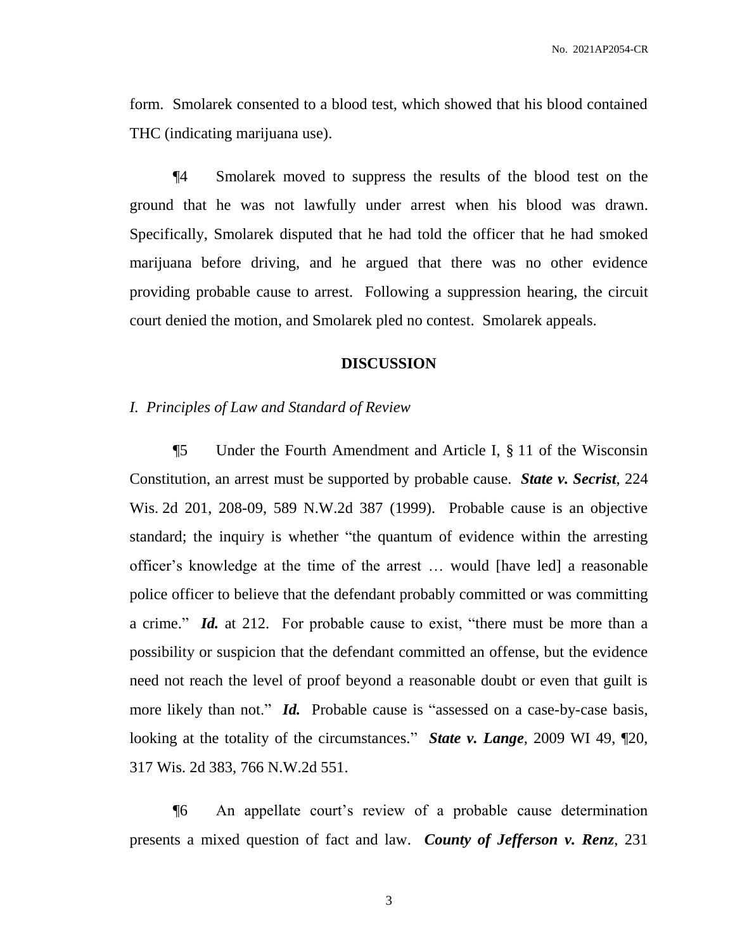form. Smolarek consented to a blood test, which showed that his blood contained THC (indicating marijuana use).

¶4 Smolarek moved to suppress the results of the blood test on the ground that he was not lawfully under arrest when his blood was drawn. Specifically, Smolarek disputed that he had told the officer that he had smoked marijuana before driving, and he argued that there was no other evidence providing probable cause to arrest. Following a suppression hearing, the circuit court denied the motion, and Smolarek pled no contest. Smolarek appeals.

#### **DISCUSSION**

#### *I. Principles of Law and Standard of Review*

¶5 Under the Fourth Amendment and Article I, § 11 of the Wisconsin Constitution, an arrest must be supported by probable cause. *State v. Secrist*, 224 Wis. 2d 201, 208-09, 589 N.W.2d 387 (1999). Probable cause is an objective standard; the inquiry is whether "the quantum of evidence within the arresting officer's knowledge at the time of the arrest … would [have led] a reasonable police officer to believe that the defendant probably committed or was committing a crime." *Id.* at 212. For probable cause to exist, "there must be more than a possibility or suspicion that the defendant committed an offense, but the evidence need not reach the level of proof beyond a reasonable doubt or even that guilt is more likely than not." *Id.* Probable cause is "assessed on a case-by-case basis, looking at the totality of the circumstances." *State v. Lange*, 2009 WI 49, ¶20, 317 Wis. 2d 383, 766 N.W.2d 551.

¶6 An appellate court's review of a probable cause determination presents a mixed question of fact and law. *County of Jefferson v. Renz*, 231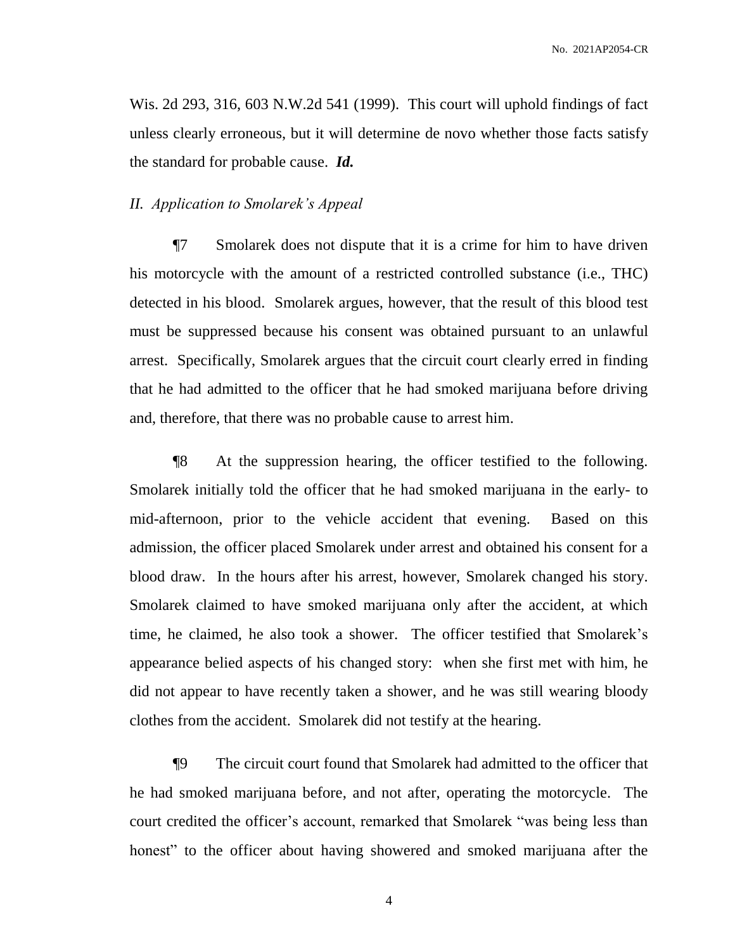Wis. 2d 293, 316, 603 N.W.2d 541 (1999). This court will uphold findings of fact unless clearly erroneous, but it will determine de novo whether those facts satisfy the standard for probable cause. *Id.*

### *II. Application to Smolarek's Appeal*

¶7 Smolarek does not dispute that it is a crime for him to have driven his motorcycle with the amount of a restricted controlled substance (i.e., THC) detected in his blood. Smolarek argues, however, that the result of this blood test must be suppressed because his consent was obtained pursuant to an unlawful arrest. Specifically, Smolarek argues that the circuit court clearly erred in finding that he had admitted to the officer that he had smoked marijuana before driving and, therefore, that there was no probable cause to arrest him.

¶8 At the suppression hearing, the officer testified to the following. Smolarek initially told the officer that he had smoked marijuana in the early- to mid-afternoon, prior to the vehicle accident that evening. Based on this admission, the officer placed Smolarek under arrest and obtained his consent for a blood draw. In the hours after his arrest, however, Smolarek changed his story. Smolarek claimed to have smoked marijuana only after the accident, at which time, he claimed, he also took a shower. The officer testified that Smolarek's appearance belied aspects of his changed story: when she first met with him, he did not appear to have recently taken a shower, and he was still wearing bloody clothes from the accident. Smolarek did not testify at the hearing.

¶9 The circuit court found that Smolarek had admitted to the officer that he had smoked marijuana before, and not after, operating the motorcycle. The court credited the officer's account, remarked that Smolarek "was being less than honest" to the officer about having showered and smoked marijuana after the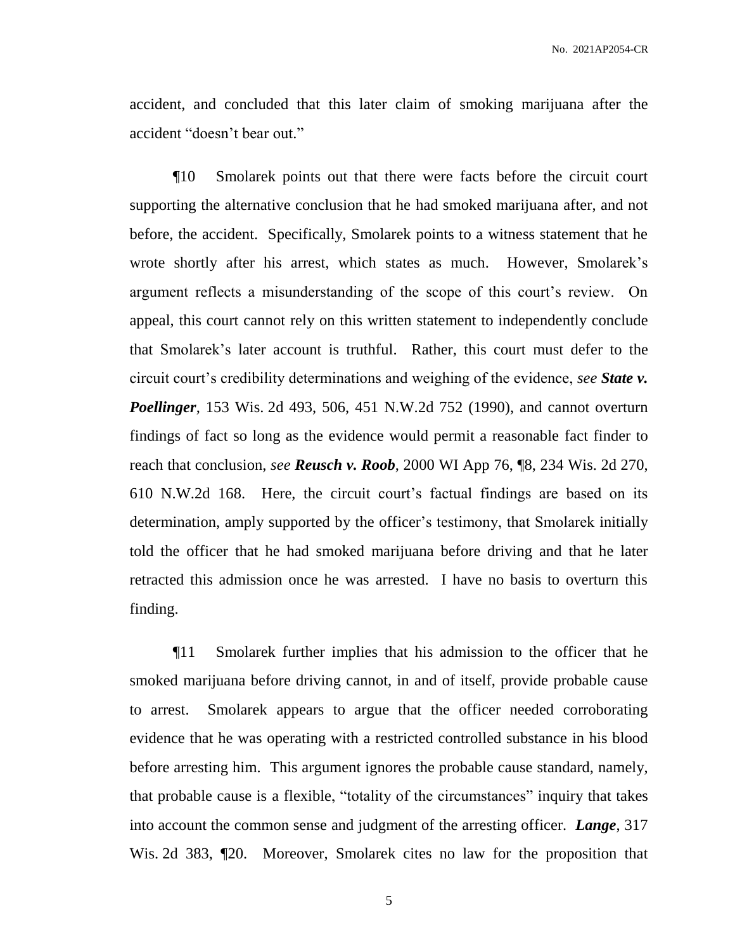accident, and concluded that this later claim of smoking marijuana after the accident "doesn't bear out."

¶10 Smolarek points out that there were facts before the circuit court supporting the alternative conclusion that he had smoked marijuana after, and not before, the accident. Specifically, Smolarek points to a witness statement that he wrote shortly after his arrest, which states as much. However, Smolarek's argument reflects a misunderstanding of the scope of this court's review. On appeal, this court cannot rely on this written statement to independently conclude that Smolarek's later account is truthful. Rather, this court must defer to the circuit court's credibility determinations and weighing of the evidence, *see State v. Poellinger*, 153 Wis. 2d 493, 506, 451 N.W.2d 752 (1990), and cannot overturn findings of fact so long as the evidence would permit a reasonable fact finder to reach that conclusion, *see Reusch v. Roob*, 2000 WI App 76, ¶8, 234 Wis. 2d 270, 610 N.W.2d 168. Here, the circuit court's factual findings are based on its determination, amply supported by the officer's testimony, that Smolarek initially told the officer that he had smoked marijuana before driving and that he later retracted this admission once he was arrested. I have no basis to overturn this finding.

¶11 Smolarek further implies that his admission to the officer that he smoked marijuana before driving cannot, in and of itself, provide probable cause to arrest. Smolarek appears to argue that the officer needed corroborating evidence that he was operating with a restricted controlled substance in his blood before arresting him. This argument ignores the probable cause standard, namely, that probable cause is a flexible, "totality of the circumstances" inquiry that takes into account the common sense and judgment of the arresting officer. *Lange*, 317 Wis. 2d 383, ¶20. Moreover, Smolarek cites no law for the proposition that